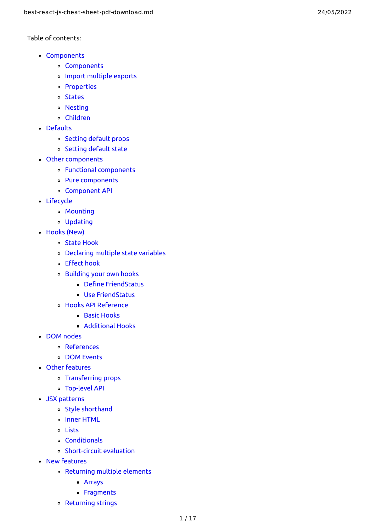#### Table of contents:

- Co[m](#page-1-0)ponents
	- Components
	- [Import](#page-1-1) multiple exports
	- Proper[tie](#page-2-0)s
	- **Stat[e](#page-2-1)s**
	- **Nes[tin](#page-3-0)g**
	- C[hil](#page-3-1)dren
- **[D](#page-4-0)efaults** 
	- Set[tin](#page-4-1)g default props
	- Set[tin](#page-4-2)g default state
- Other co[m](#page-5-0)ponents
	- Func[tio](#page-5-1)nal components
	- Pure co[m](#page-5-2)ponents
	- Component A[PI](#page-5-3)
- [Lifecycle](#page-5-4)<br>[Mounting](#page-6-0)ه
	-
	- [Updating](#page-6-1)
- [Hooks](#page-6-2) (New)
	- State [Hook](#page-6-3)
	- [Declaring](#page-7-0) multiple state variables
	- E[ff](#page-7-1)ect hook
	- Buil[din](#page-8-0)g your own hooks
		- Define F[rie](#page-8-1)ndStatus
		- Use F[rie](#page-8-2)ndStatus
	- Hooks A[PI](#page-8-3) Reference
		- **Ba[sic](#page-8-4) Hooks**
		- Ad[ditio](#page-9-0)nal Hooks
- DO[M](#page-9-1) nodes
	- [R](#page-9-2)eferences
	- DO[M](#page-10-0) Events
- [O](#page-10-1)ther features
	- Transfer[rin](#page-10-2)g props
	- **Top-level A[PI](#page-10-3)**
- JSX [patterns](#page-11-0)
	- Style [shortha](#page-11-1) n d
	- Inner [HTML](#page-11-2)
	- [Lists](#page-11-3)
	- [Conditionals](#page-11-4)
	- [Short-circuit](#page-12-0) evaluation
- Ne[w](#page-12-1) features
	- Retur[nin](#page-12-2)g multiple elements
		- [A](#page-12-3)rrays
		- **Frag[m](#page-12-4)ents**
	- Retur[nin](#page-12-5)g strings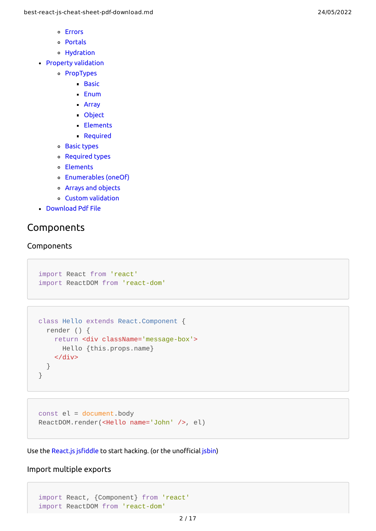- [Errors](#page-13-0)
- [Portals](#page-13-1)
- [Hydration](#page-13-2)
- Property [validation](#page-13-3)
	- [PropTypes](#page-14-0)
		- **[Basic](#page-14-1)** 
			- [Enum](#page-14-2)
			- [Array](#page-14-3)
			- [Object](#page-14-4)
			- [Elements](#page-14-5)
			- [Required](#page-15-0)
	- Basic [types](#page-15-1)
	- [Required](#page-15-2) types
	- Elements
	- [Enumerables](#page-15-3) (oneOf)
	- Arrays and [objects](#page-16-0)
	- Custom [validation](#page-16-1)
- [Download](#page-16-2) Pdf File

# <span id="page-1-0"></span>Components

#### **Components**

```
import React from 'react'
import ReactDOM from 'react-dom'
```

```
class Hello extends React.Component {
   render () {
     return <div className='message-box'>
       Hello {this.props.name}
    \langlediv> }
}
```

```
const el = document.body
ReactDOM.render(<Hello name='John' />, el)
```
Use the [React.js](http://jsfiddle.net/reactjs/69z2wepo/) jsfiddle to start hacking. (or the unofficial [jsbin](http://jsbin.com/yafixat/edit?js,output))

### <span id="page-1-1"></span>Import multiple exports

import React, {Component} from 'react' import ReactDOM from 'react-dom'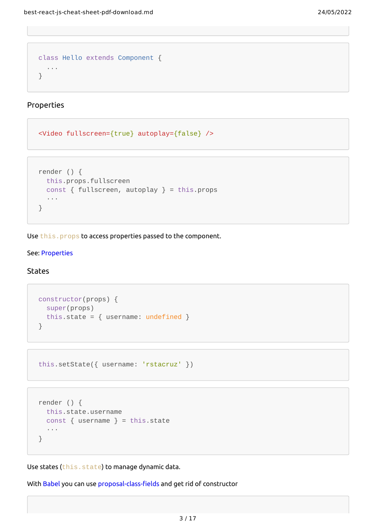```
class Hello extends Component {
   ...
}
```
<span id="page-2-0"></span>Properties

```
<Video fullscreen={true} autoplay={false} />
```

```
render () {
   this.props.fullscreen
   const { fullscreen, autoplay } = this.props
   ···
}
```
Use this.props to access properties passed to the component.

#### See: [Properties](https://reactjs.org/docs/tutorial.html#using-props)

#### <span id="page-2-1"></span>**States**

```
constructor(props) {
   super(props)
 this.state = \{ username: undefined \}}
```

```
this.setState({ username: 'rstacruz' })
```

```
render () {
   this.state.username
  const { username } = this.state
   ···
}
```
Use states (this.state) to manage dynamic data.

With [Babel](https://babeljs.io/) you can use [proposal-class-fields](https://github.com/tc39/proposal-class-fields) and get rid of constructor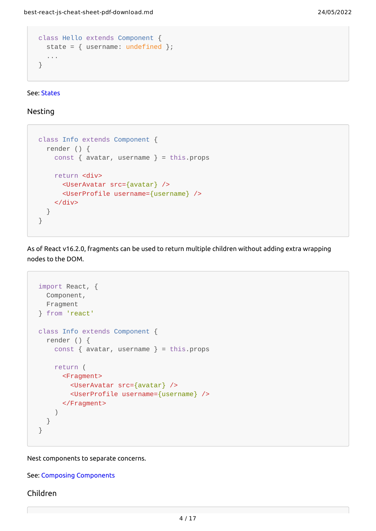```
class Hello extends Component {
  state = \{ username: undefined \};
   ...
}
```
See: [States](https://reactjs.org/docs/tutorial.html#reactive-state)

<span id="page-3-0"></span>Nesting

```
class Info extends Component {
   render () {
    const { avatar, username } = this.props
     return <div>
       <UserAvatar src={avatar} />
       <UserProfile username={username} />
     </div>
   }
}
```
As of React v16.2.0, fragments can be used to return multiple children without adding extra wrapping nodes to the DOM.

```
import React, {
   Component,
   Fragment
} from 'react'
class Info extends Component {
   render () {
    const { avatar, username } = this.props
     return (
       <Fragment>
         <UserAvatar src={avatar} />
         <UserProfile username={username} />
       </Fragment>
     )
   }
}
```
Nest components to separate concerns.

See: Composing [Components](https://reactjs.org/docs/components-and-props.html#composing-components)

#### <span id="page-3-1"></span>Children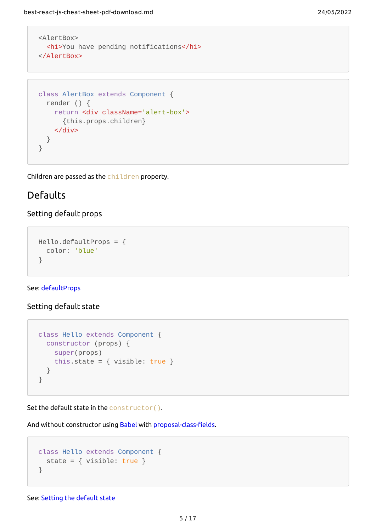```
<AlertBox>
  <h1>You have pending notifications</h1>
</AlertBox>
```

```
class AlertBox extends Component {
   render () {
     return <div className='alert-box'>
       {this.props.children}
     </div>
   }
}
```
Children are passed as the children property.

## <span id="page-4-0"></span>Defaults

## <span id="page-4-1"></span>Setting default props

```
Hello.defaultProps = {
   color: 'blue'
}
```
#### See: [defaultProps](https://reactjs.org/docs/react-component.html#defaultprops)

#### <span id="page-4-2"></span>Setting default state

```
class Hello extends Component {
  constructor (props) {
    super(props)
    this.state = \{ visible: true \} }
}
```
Set the default state in the constructor().

And without constructor using [Babel](https://babeljs.io/) with [proposal-class-fields](https://github.com/tc39/proposal-class-fields).

```
class Hello extends Component {
  state = \{ visible: true \}}
```
See: Setting the [default](https://reactjs.org/docs/react-without-es6.html#setting-the-initial-state) state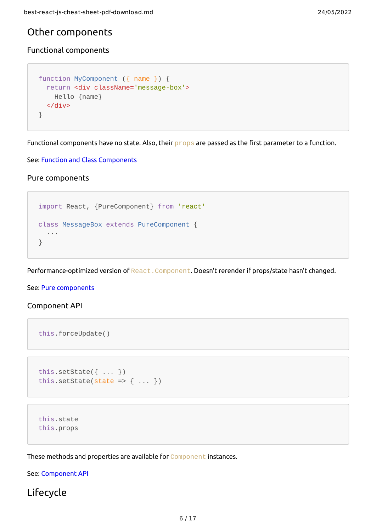## <span id="page-5-0"></span>Other components

### <span id="page-5-1"></span>Functional components

```
function MyComponent ({ name }) {
   return <div className='message-box'>
     Hello {name}
   </div>
}
```
Functional components have no state. Also, their props are passed as the first parameter to a function.

See: Function and Class [Components](https://reactjs.org/docs/components-and-props.html#functional-and-class-components)

<span id="page-5-2"></span>Pure components

```
import React, {PureComponent} from 'react'
class MessageBox extends PureComponent {
   ···
}
```
Performance-optimized version of React. Component. Doesn't rerender if props/state hasn't changed.

See: Pure [components](https://reactjs.org/docs/react-api.html#react.purecomponent)

#### <span id="page-5-3"></span>Component API

```
this.forceUpdate()
```

```
this.setState({ ... })
this.setState(state => {\ldots })
```

```
this.state
this.props
```
These methods and properties are available for Component instances.

See: [Component](http://facebook.github.io/react/docs/component-api.html) API

<span id="page-5-4"></span>Lifecycle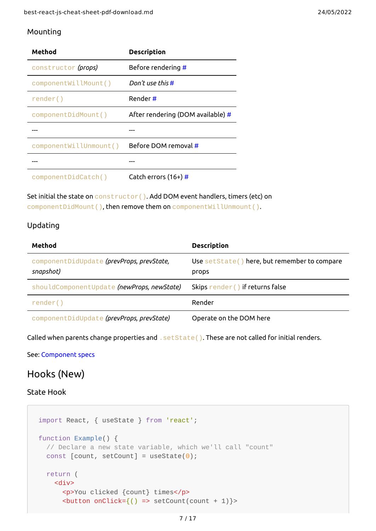## <span id="page-6-0"></span>Mounting

| Method                 | <b>Description</b>                |
|------------------------|-----------------------------------|
| constructor (props)    | Before rendering #                |
| componentWillMount()   | Don't use this #                  |
| render()               | Render#                           |
| componentDidMount()    | After rendering (DOM available) # |
|                        |                                   |
| componentWillUnmount() | Before DOM removal #              |
|                        |                                   |
| componentDidCatch()    | Catch errors $(16+)$ #            |

Set initial the state on constructor(). Add DOM event handlers, timers (etc) on componentDidMount(), then remove them on componentWillUnmount().

## <span id="page-6-1"></span>Updating

| Method                                                 | <b>Description</b>                                    |
|--------------------------------------------------------|-------------------------------------------------------|
| componentDidUpdate (prevProps, prevState,<br>snapshot) | Use setState() here, but remember to compare<br>props |
| shouldComponentUpdate (newProps, newState)             | Skips render () if returns false                      |
| render()                                               | Render                                                |
| componentDidUpdate (prevProps, prevState)              | Operate on the DOM here                               |

Called when parents change properties and . set State(). These are not called for initial renders.

See: [Component](http://facebook.github.io/react/docs/component-specs.html#updating-componentwillreceiveprops) specs

# <span id="page-6-2"></span>Hooks (New)

#### <span id="page-6-3"></span>State Hook

```
import React, { useState } from 'react';
function Example() {
   // Declare a new state variable, which we'll call "count"
  const [count, setCount] = useState(0);
   return (
     <div>
       <p>You clicked {count} times</p>
      \left\{\n \begin{array}{l}\n -\n \end{array}\n \right\} > setCount(count + 1) }
```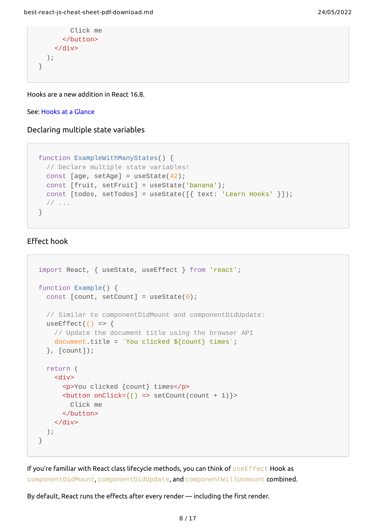```
 Click me
        </button>
     </div>
   );
}
```
Hooks are a new addition in React 16.8.

#### See: Hooks at a [Glance](https://reactjs.org/docs/hooks-overview.html)

<span id="page-7-0"></span>Declaring multiple state variables

```
function ExampleWithManyStates() {
  // Declare multiple state variables!
 const [age, setAge] = useState(42);
 const [fruit, setFruit] = useState('banana');
 const [todos, setTools] = useState([ \{ text: 'Learn Books' \}]);
  // ...
}
```
## <span id="page-7-1"></span>Effect hook

```
import React, { useState, useEffect } from 'react';
function Example() {
  const [count, setCount] = useState(0); // Similar to componentDidMount and componentDidUpdate:
  useEffect(() => \{ // Update the document title using the browser API
     document.title = `You clicked ${count} times`;
   }, [count]);
   return (
     <div>
       <p>You clicked {count} times</p>
      \left\{\n \begin{pmatrix}\n 1 & 2 \\
 2 & 3\n \end{pmatrix}\n \right\} => setCount(count + 1) }
          Click me
       </button>
    </div> );
}
```
If you're familiar with React class lifecycle methods, you can think of useEffect Hook as componentDidMount, componentDidUpdate, and componentWillUnmount combined.

By default, React runs the effects after every render — including the first render.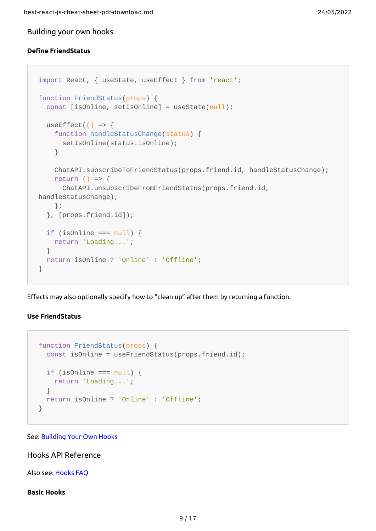<span id="page-8-0"></span>Building your own hooks

#### <span id="page-8-1"></span>**Define FriendStatus**

```
import React, { useState, useEffect } from 'react';
function FriendStatus(props) {
   const [isOnline, setIsOnline] = useState(null);
  useEffect(() => {
     function handleStatusChange(status) {
       setIsOnline(status.isOnline);
     }
     ChatAPI.subscribeToFriendStatus(props.friend.id, handleStatusChange);
    return () \Rightarrow {
       ChatAPI.unsubscribeFromFriendStatus(props.friend.id,
handleStatusChange);
     };
   }, [props.friend.id]);
  if (isOnline === null) {
    return 'Loading...';
   }
   return isOnline ? 'Online' : 'Offline';
}
```
Effects may also optionally specify how to "clean up" after them by returning a function.

#### <span id="page-8-2"></span>**Use FriendStatus**

```
function FriendStatus(props) {
  const isOnline = useFriendStatus(props.friend.id);
 if (isOnline == null) {
    return 'Loading...';
  }
  return isOnline ? 'Online' : 'Offline';
}
```
#### See: [Building](https://reactjs.org/docs/hooks-custom.html) Your Own Hooks

#### <span id="page-8-3"></span>Hooks API Reference

Also see: [Hooks](https://reactjs.org/docs/hooks-faq.html) FAQ

#### <span id="page-8-4"></span>**Basic Hooks**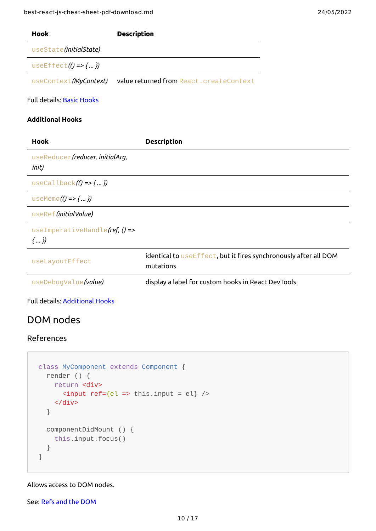| f-download.md                           | 24/05/2022 |
|-----------------------------------------|------------|
| <b>Description</b>                      |            |
|                                         |            |
| value returned from React.createContext |            |
|                                         |            |
|                                         |            |
| <b>Description</b>                      |            |

useEffect*(() => { ... })*

useState*(initialState)*

useContext*(MyContext)* 

Full details: Basic [Hooks](https://reactjs.org/docs/hooks-reference.html#basic-hooks)

### <span id="page-9-0"></span>**Additional Hooks**

**Hook** 

| <b>Hook</b>                                          | <b>Description</b>                                                            |
|------------------------------------------------------|-------------------------------------------------------------------------------|
| useReducer (reducer, initialArg,<br>init)            |                                                                               |
| useCallback $($ $)$ => $\{  \}$                      |                                                                               |
| useMemo $( ) \Rightarrow$ { })                       |                                                                               |
| useRef(initialValue)                                 |                                                                               |
| useImperativeHandle(ref, $() \Rightarrow$<br>$\{ \}$ |                                                                               |
| useLayoutEffect                                      | identical to useEffect, but it fires synchronously after all DOM<br>mutations |
| useDebugValue(value)                                 | display a label for custom hooks in React DevTools                            |

Full details: [Additional](https://reactjs.org/docs/hooks-reference.html#additional-hooks) Hooks

# <span id="page-9-1"></span>DOM nodes

## <span id="page-9-2"></span>References

```
class MyComponent extends Component {
   render () {
     return <div>
      \langleinput ref={el => this.input = el} />
     </div>
   }
   componentDidMount () {
     this.input.focus()
   }
}
```
Allows access to DOM nodes.

See: Refs and the [DOM](https://reactjs.org/docs/refs-and-the-dom.html)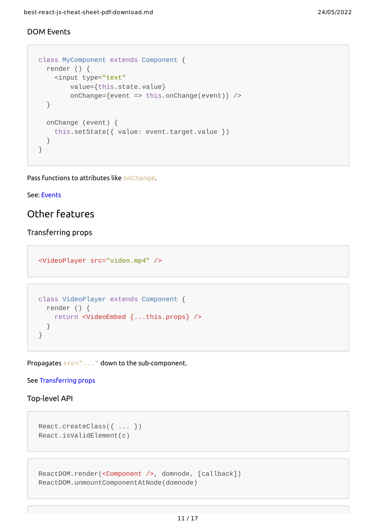## <span id="page-10-0"></span>DOM Events

```
class MyComponent extends Component {
   render () {
     <input type="text"
         value={this.state.value}
         onChange={event => this.onChange(event)} />
   }
   onChange (event) {
     this.setState({ value: event.target.value })
   }
}
```
Pass functions to attributes like onChange.

#### See: [Events](https://reactjs.org/docs/events.html)

## <span id="page-10-1"></span>Other features

### <span id="page-10-2"></span>Transferring props

<VideoPlayer src="video.mp4" />

```
class VideoPlayer extends Component {
   render () {
     return <VideoEmbed {...this.props} />
   }
}
```
Propagates src="..." down to the sub-component.

#### See [Transferring](http://facebook.github.io/react/docs/transferring-props.html) props

## <span id="page-10-3"></span>Top-level API

```
React.createClass({ ... })
React.isValidElement(c)
```

```
ReactDOM.render(<Component />, domnode, [callback])
ReactDOM.unmountComponentAtNode(domnode)
```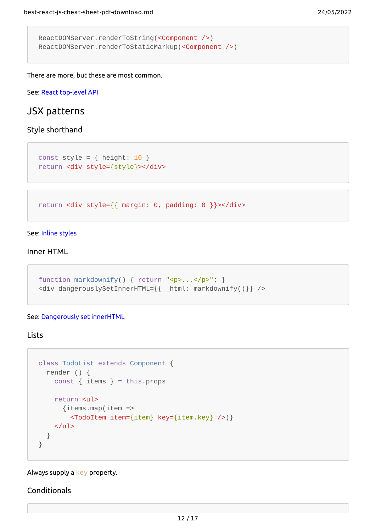```
ReactDOMServer.renderToString(<Component />)
ReactDOMServer.renderToStaticMarkup(<Component />)
```
There are more, but these are most common.

See: React [top-level](https://reactjs.org/docs/react-api.html) API

## <span id="page-11-0"></span>JSX patterns

#### <span id="page-11-1"></span>Style shorthand

```
const style = \{ height: 10 \}return <div style={style}></div>
```
return <div style={{ margin: 0, padding: 0 }}></div>

#### See: Inline [styles](https://reactjs.org/tips/inline-styles.html)

#### <span id="page-11-2"></span>Inner HTML

```
function markdownify() { return "<p>...</p>"; }
<div dangerouslySetInnerHTML={{__html: markdownify()}} />
```
#### See: [Dangerously](https://reactjs.org/tips/dangerously-set-inner-html.html) set innerHTML

### <span id="page-11-3"></span>**Lists**

```
class TodoList extends Component {
   render () {
    const { items } = this.props
     return <ul>
       {items.map(item =>
         <TodoItem item={item} key={item.key} />)}
    \langleul>
   }
}
```
#### Always supply a key property.

#### <span id="page-11-4"></span>Conditionals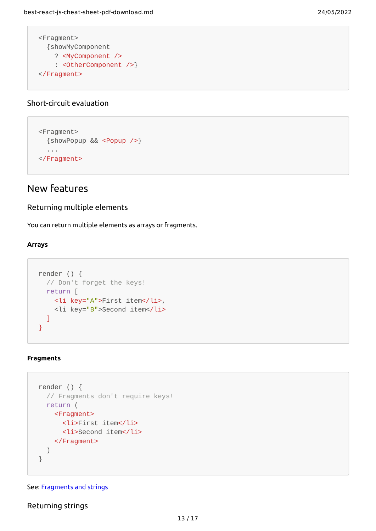```
<Fragment>
  {showMyComponent
     ? <MyComponent />
     : <OtherComponent />}
</Fragment>
```
## <span id="page-12-0"></span>Short-circuit evaluation

```
<Fragment>
   {showPopup && <Popup />}
   ...
</Fragment>
```
# <span id="page-12-1"></span>New features

### <span id="page-12-2"></span>Returning multiple elements

You can return multiple elements as arrays or fragments.

#### <span id="page-12-3"></span>**Arrays**

```
render () {
  // Don't forget the keys!
  return [
     <li key="A">First item</li>,
     <li key="B">Second item</li>
  ]
}
```
#### <span id="page-12-4"></span>**Fragments**

```
render () {
   // Fragments don't require keys!
   return (
     <Fragment>
       <li>First item</li>
       <li>Second item</li>
     </Fragment>
   )
}
```
#### See: [Fragments](https://reactjs.org/blog/2017/09/26/react-v16.0.html#new-render-return-types-fragments-and-strings) and strings

<span id="page-12-5"></span>Returning strings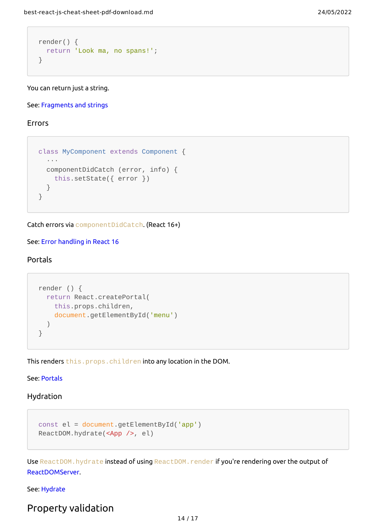```
render() {
  return 'Look ma, no spans!';
}
```
You can return just a string.

See: [Fragments](https://reactjs.org/blog/2017/09/26/react-v16.0.html#new-render-return-types-fragments-and-strings) and strings

<span id="page-13-0"></span>Errors

```
class MyComponent extends Component {
  ···
   componentDidCatch (error, info) {
     this.setState({ error })
   }
}
```
Catch errors via componentDidCatch. (React 16+)

See: Error [handling](https://reactjs.org/blog/2017/07/26/error-handling-in-react-16.html) in React 16

### <span id="page-13-1"></span>Portals

```
render () {
  return React.createPortal(
     this.props.children,
     document.getElementById('menu')
   )
}
```
This renders this.props.children into any location in the DOM.

See: [Portals](https://reactjs.org/docs/portals.html)

#### <span id="page-13-2"></span>Hydration

```
const el = document.getElementById('app')
ReactDOM.hydrate(<App />, el)
```
Use ReactDOM. hydrate instead of using ReactDOM. render if you're rendering over the output of [ReactDOMServer.](https://reactjs.org/docs/react-dom-server.html)

See: [Hydrate](https://reactjs.org/docs/react-dom.html#hydrate)

# <span id="page-13-3"></span>Property validation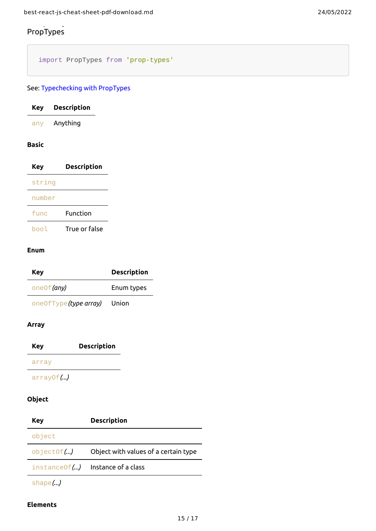## <span id="page-14-0"></span>p y PropTypes

import PropTypes from 'prop-types'

## See: [Typechecking](https://reactjs.org/docs/typechecking-with-proptypes.html) with PropTypes

<span id="page-14-1"></span>

| Key        | Description   |  |
|------------|---------------|--|
| any        | Anything      |  |
| Basic      |               |  |
| <b>Key</b> | Description   |  |
| string     |               |  |
| number     |               |  |
| func       | Function      |  |
| bool       | True or false |  |

#### <span id="page-14-2"></span>**Enum**

| Key                   | <b>Description</b> |
|-----------------------|--------------------|
| one Of (any)          | Enum types         |
| one0fType(type array) | Union              |

#### <span id="page-14-3"></span>**Array**

**Key Description**

#### array

arrayOf*(...)*

## <span id="page-14-4"></span>**Object**

| Key        | <b>Description</b>                   |
|------------|--------------------------------------|
| object     |                                      |
| objectOf() | Object with values of a certain type |
|            | $instanceOf()$ Instance of a class   |
|            |                                      |

shape*(...)*

### <span id="page-14-5"></span>**Elements**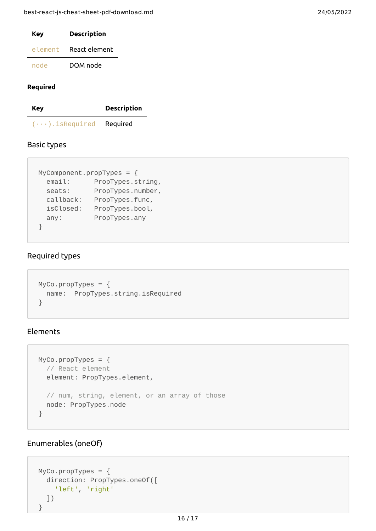| Key     | <b>Description</b> |
|---------|--------------------|
| element | React element      |
| node    | DOM node           |

#### <span id="page-15-0"></span>**Required**

**Key Description**

(···).isRequired Required

## <span id="page-15-1"></span>Basic types

```
MyComponent.propTypes = {
 email: PropTypes.string,
 seats: PropTypes.number,
  callback: PropTypes.func,
  isClosed: PropTypes.bool,
  any: PropTypes.any
}
```
## <span id="page-15-2"></span>Required types

```
MyCo.propTypes = \{ name: PropTypes.string.isRequired
}
```
## Elements

```
MyCo.propTypes = \{ // React element
   element: PropTypes.element,
   // num, string, element, or an array of those
   node: PropTypes.node
}
```
## <span id="page-15-3"></span>Enumerables (oneOf)

```
MyCo.propTypes = \{ direction: PropTypes.oneOf([
     'left', 'right'
   ])
}
```